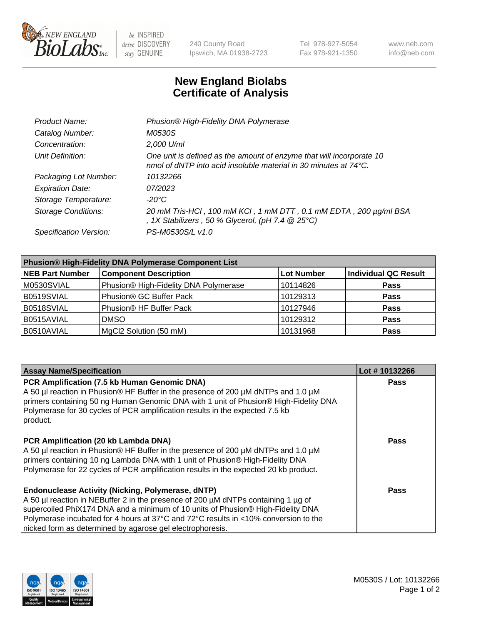

be INSPIRED drive DISCOVERY stay GENUINE

240 County Road Ipswich, MA 01938-2723 Tel 978-927-5054 Fax 978-921-1350 www.neb.com info@neb.com

## **New England Biolabs Certificate of Analysis**

| Product Name:              | Phusion® High-Fidelity DNA Polymerase                                                                                                              |
|----------------------------|----------------------------------------------------------------------------------------------------------------------------------------------------|
| Catalog Number:            | M0530S                                                                                                                                             |
| Concentration:             | 2,000 U/ml                                                                                                                                         |
| Unit Definition:           | One unit is defined as the amount of enzyme that will incorporate 10<br>nmol of dNTP into acid insoluble material in 30 minutes at $74^{\circ}$ C. |
| Packaging Lot Number:      | 10132266                                                                                                                                           |
| <b>Expiration Date:</b>    | 07/2023                                                                                                                                            |
| Storage Temperature:       | -20°C                                                                                                                                              |
| <b>Storage Conditions:</b> | 20 mM Tris-HCl, 100 mM KCl, 1 mM DTT, 0.1 mM EDTA, 200 µg/ml BSA<br>, 1X Stabilizers, 50 % Glycerol, (pH 7.4 $@25°C$ )                             |
| Specification Version:     | PS-M0530S/L v1.0                                                                                                                                   |

| <b>Phusion® High-Fidelity DNA Polymerase Component List</b> |                                       |                   |                             |  |
|-------------------------------------------------------------|---------------------------------------|-------------------|-----------------------------|--|
| <b>NEB Part Number</b>                                      | <b>Component Description</b>          | <b>Lot Number</b> | <b>Individual QC Result</b> |  |
| M0530SVIAL                                                  | Phusion® High-Fidelity DNA Polymerase | 10114826          | <b>Pass</b>                 |  |
| B0519SVIAL                                                  | Phusion <sup>®</sup> GC Buffer Pack   | 10129313          | <b>Pass</b>                 |  |
| B0518SVIAL                                                  | Phusion® HF Buffer Pack               | 10127946          | <b>Pass</b>                 |  |
| B0515AVIAL                                                  | <b>DMSO</b>                           | 10129312          | <b>Pass</b>                 |  |
| B0510AVIAL                                                  | MgCl2 Solution (50 mM)                | 10131968          | <b>Pass</b>                 |  |

| <b>Assay Name/Specification</b>                                                                                                                                                                                                                                                                                                                                                      | Lot #10132266 |
|--------------------------------------------------------------------------------------------------------------------------------------------------------------------------------------------------------------------------------------------------------------------------------------------------------------------------------------------------------------------------------------|---------------|
| PCR Amplification (7.5 kb Human Genomic DNA)<br>A 50 µl reaction in Phusion® HF Buffer in the presence of 200 µM dNTPs and 1.0 µM<br>primers containing 50 ng Human Genomic DNA with 1 unit of Phusion® High-Fidelity DNA<br>Polymerase for 30 cycles of PCR amplification results in the expected 7.5 kb<br>product.                                                                | <b>Pass</b>   |
| PCR Amplification (20 kb Lambda DNA)<br>A 50 µl reaction in Phusion® HF Buffer in the presence of 200 µM dNTPs and 1.0 µM<br>primers containing 10 ng Lambda DNA with 1 unit of Phusion® High-Fidelity DNA<br>Polymerase for 22 cycles of PCR amplification results in the expected 20 kb product.                                                                                   | Pass          |
| <b>Endonuclease Activity (Nicking, Polymerase, dNTP)</b><br>A 50 µl reaction in NEBuffer 2 in the presence of 200 µM dNTPs containing 1 µg of<br>supercoiled PhiX174 DNA and a minimum of 10 units of Phusion® High-Fidelity DNA<br>Polymerase incubated for 4 hours at 37°C and 72°C results in <10% conversion to the<br>nicked form as determined by agarose gel electrophoresis. | Pass          |